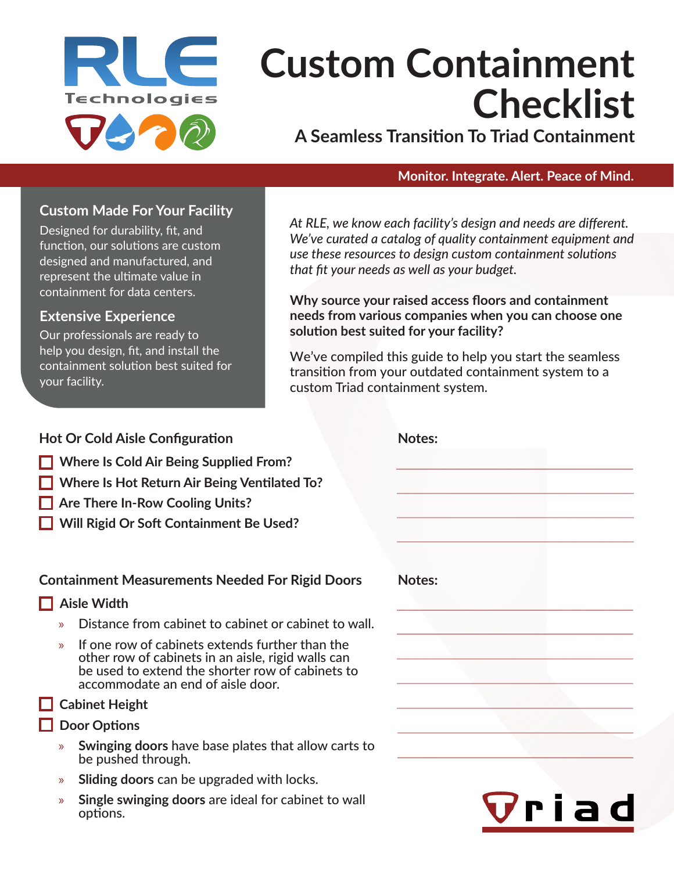

# **Custom Containment Checklist**

**A Seamless Transition To Triad Containment**

#### **Monitor. Integrate. Alert. Peace of Mind.**

#### **Custom Made For Your Facility**

Designed for durability, fit, and function, our solutions are custom designed and manufactured, and represent the ultimate value in containment for data centers.

#### **Extensive Experience**

Our professionals are ready to help you design, fit, and install the containment solution best suited for your facility.

*At RLE, we know each facility's design and needs are different. We've curated a catalog of quality containment equipment and use these resources to design custom containment solutions that fit your needs as well as your budget.*

**Why source your raised access floors and containment needs from various companies when you can choose one solution best suited for your facility?** 

We've compiled this guide to help you start the seamless transition from your outdated containment system to a custom Triad containment system.

## **Where Is Cold Air Being Supplied From? Where Is Hot Return Air Being Ventilated To? Are There In-Row Cooling Units? Will Rigid Or Soft Containment Be Used? Hot Or Cold Aisle Configuration Notes: Aisle Width** » Distance from cabinet to cabinet or cabinet to wall. » If one row of cabinets extends further than the other row of cabinets in an aisle, rigid walls can be used to extend the shorter row of cabinets to accommodate an end of aisle door.  **Cabinet Height Door Options** » **Swinging doors** have base plates that allow carts to be pushed through. » **Sliding doors** can be upgraded with locks. » **Single swinging doors** are ideal for cabinet to wall options. **Containment Measurements Needed For Rigid Doors Notes:**